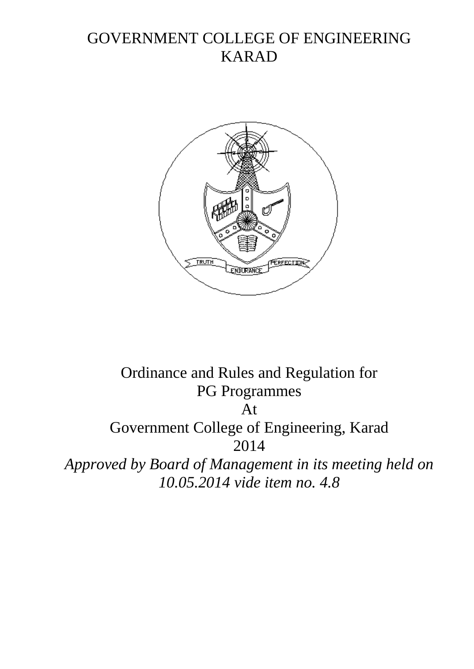# GOVERNMENT COLLEGE OF ENGINEERING KARAD



# Ordinance and Rules and Regulation for PG Programmes At Government College of Engineering, Karad 2014 *Approved by Board of Management in its meeting held on 10.05.2014 vide item no. 4.8*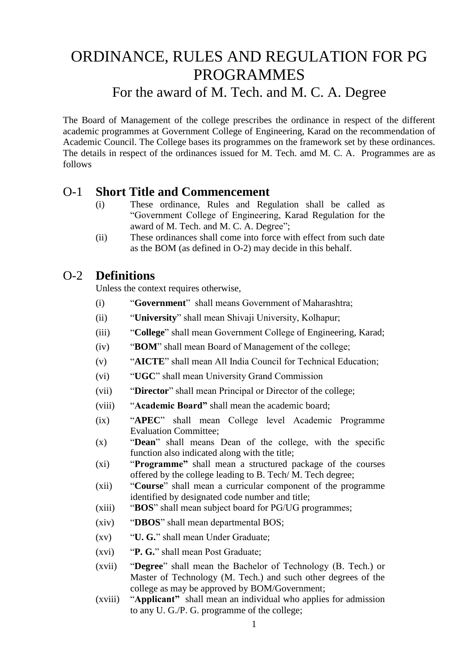# ORDINANCE, RULES AND REGULATION FOR PG PROGRAMMES For the award of M. Tech. and M. C. A. Degree

The Board of Management of the college prescribes the ordinance in respect of the different academic programmes at Government College of Engineering, Karad on the recommendation of Academic Council. The College bases its programmes on the framework set by these ordinances. The details in respect of the ordinances issued for M. Tech. amd M. C. A. Programmes are as follows

### O-1 **Short Title and Commencement**

- (i) These ordinance, Rules and Regulation shall be called as "Government College of Engineering, Karad Regulation for the award of M. Tech. and M. C. A. Degree";
- (ii) These ordinances shall come into force with effect from such date as the BOM (as defined in O-2) may decide in this behalf.

### O-2 **Definitions**

Unless the context requires otherwise,

- (i) "**Government**" shall means Government of Maharashtra;
- (ii) "**University**" shall mean Shivaji University, Kolhapur;
- (iii) "**College**" shall mean Government College of Engineering, Karad;
- (iv) "**BOM**" shall mean Board of Management of the college;
- (v) "**AICTE**" shall mean All India Council for Technical Education;
- (vi) "**UGC**" shall mean University Grand Commission
- (vii) "**Director**" shall mean Principal or Director of the college;
- (viii) "**Academic Board"** shall mean the academic board;
- (ix) "**APEC**" shall mean College level Academic Programme Evaluation Committee;
- (x) "**Dean**" shall means Dean of the college, with the specific function also indicated along with the title;
- (xi) "**Programme"** shall mean a structured package of the courses offered by the college leading to B. Tech/ M. Tech degree;
- (xii) "**Course**" shall mean a curricular component of the programme identified by designated code number and title;
- (xiii) "**BOS**" shall mean subject board for PG/UG programmes;
- (xiv) "**DBOS**" shall mean departmental BOS;
- (xv) "**U. G.**" shall mean Under Graduate;
- (xvi) "**P. G.**" shall mean Post Graduate;
- (xvii) "**Degree**" shall mean the Bachelor of Technology (B. Tech.) or Master of Technology (M. Tech.) and such other degrees of the college as may be approved by BOM/Government;
- (xviii) "**Applicant"** shall mean an individual who applies for admission to any U. G./P. G. programme of the college;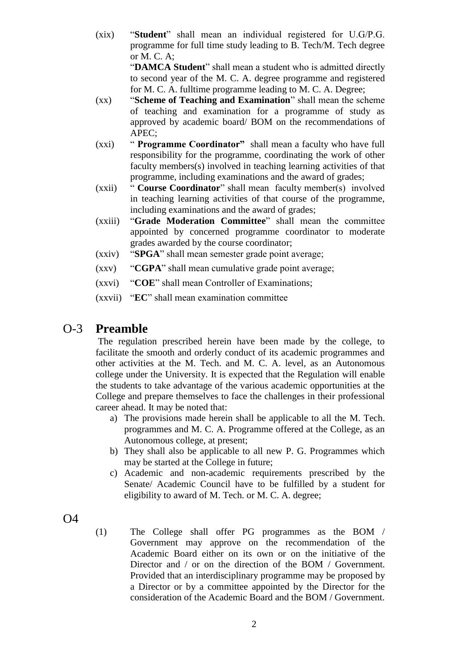(xix) "**Student**" shall mean an individual registered for U.G/P.G. programme for full time study leading to B. Tech/M. Tech degree or M. C. A;

"**DAMCA Student**" shall mean a student who is admitted directly to second year of the M. C. A. degree programme and registered for M. C. A. fulltime programme leading to M. C. A. Degree;

- (xx) "**Scheme of Teaching and Examination**" shall mean the scheme of teaching and examination for a programme of study as approved by academic board/ BOM on the recommendations of APEC;
- (xxi) " **Programme Coordinator"** shall mean a faculty who have full responsibility for the programme, coordinating the work of other faculty members(s) involved in teaching learning activities of that programme, including examinations and the award of grades;
- (xxii) " **Course Coordinator**" shall mean faculty member(s) involved in teaching learning activities of that course of the programme, including examinations and the award of grades;
- (xxiii) "**Grade Moderation Committee**" shall mean the committee appointed by concerned programme coordinator to moderate grades awarded by the course coordinator;
- (xxiv) "**SPGA**" shall mean semester grade point average;
- (xxv) "**CGPA**" shall mean cumulative grade point average;
- (xxvi) "**COE**" shall mean Controller of Examinations;
- (xxvii) "**EC**" shall mean examination committee

#### O-3 **Preamble**

The regulation prescribed herein have been made by the college, to facilitate the smooth and orderly conduct of its academic programmes and other activities at the M. Tech. and M. C. A. level, as an Autonomous college under the University. It is expected that the Regulation will enable the students to take advantage of the various academic opportunities at the College and prepare themselves to face the challenges in their professional career ahead. It may be noted that:

- a) The provisions made herein shall be applicable to all the M. Tech. programmes and M. C. A. Programme offered at the College, as an Autonomous college, at present;
- b) They shall also be applicable to all new P. G. Programmes which may be started at the College in future;
- c) Academic and non-academic requirements prescribed by the Senate/ Academic Council have to be fulfilled by a student for eligibility to award of M. Tech. or M. C. A. degree;
- $O<sub>4</sub>$
- (1) The College shall offer PG programmes as the BOM / Government may approve on the recommendation of the Academic Board either on its own or on the initiative of the Director and / or on the direction of the BOM / Government. Provided that an interdisciplinary programme may be proposed by a Director or by a committee appointed by the Director for the consideration of the Academic Board and the BOM / Government.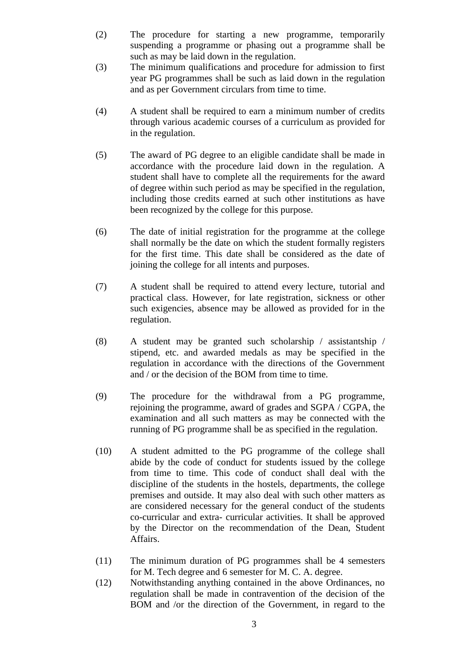- (2) The procedure for starting a new programme, temporarily suspending a programme or phasing out a programme shall be such as may be laid down in the regulation.
- (3) The minimum qualifications and procedure for admission to first year PG programmes shall be such as laid down in the regulation and as per Government circulars from time to time.
- (4) A student shall be required to earn a minimum number of credits through various academic courses of a curriculum as provided for in the regulation.
- (5) The award of PG degree to an eligible candidate shall be made in accordance with the procedure laid down in the regulation. A student shall have to complete all the requirements for the award of degree within such period as may be specified in the regulation, including those credits earned at such other institutions as have been recognized by the college for this purpose.
- (6) The date of initial registration for the programme at the college shall normally be the date on which the student formally registers for the first time. This date shall be considered as the date of joining the college for all intents and purposes.
- (7) A student shall be required to attend every lecture, tutorial and practical class. However, for late registration, sickness or other such exigencies, absence may be allowed as provided for in the regulation.
- (8) A student may be granted such scholarship / assistantship / stipend, etc. and awarded medals as may be specified in the regulation in accordance with the directions of the Government and / or the decision of the BOM from time to time.
- (9) The procedure for the withdrawal from a PG programme, rejoining the programme, award of grades and SGPA / CGPA, the examination and all such matters as may be connected with the running of PG programme shall be as specified in the regulation.
- (10) A student admitted to the PG programme of the college shall abide by the code of conduct for students issued by the college from time to time. This code of conduct shall deal with the discipline of the students in the hostels, departments, the college premises and outside. It may also deal with such other matters as are considered necessary for the general conduct of the students co-curricular and extra- curricular activities. It shall be approved by the Director on the recommendation of the Dean, Student Affairs.
- (11) The minimum duration of PG programmes shall be 4 semesters for M. Tech degree and 6 semester for M. C. A. degree.
- (12) Notwithstanding anything contained in the above Ordinances, no regulation shall be made in contravention of the decision of the BOM and /or the direction of the Government, in regard to the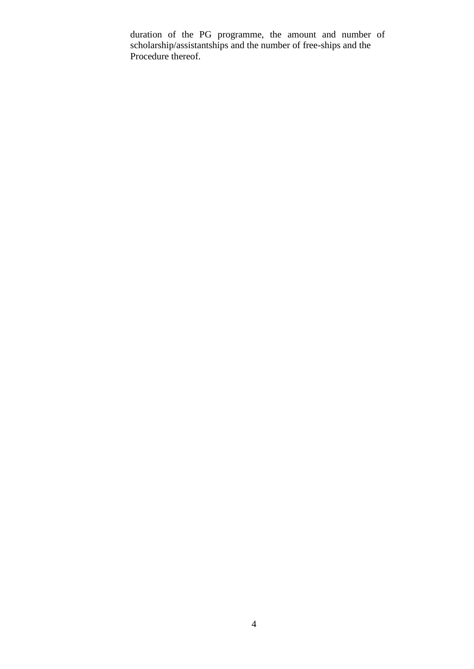duration of the PG programme, the amount and number of scholarship/assistantships and the number of free-ships and the Procedure thereof.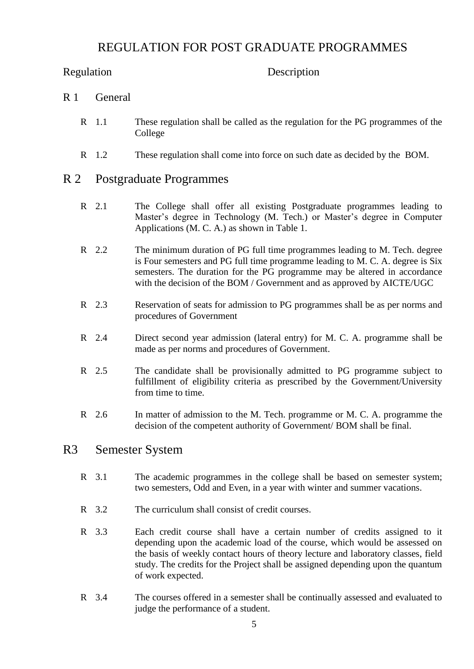### REGULATION FOR POST GRADUATE PROGRAMMES

#### Regulation Description

- R 1 General
	- R 1.1 These regulation shall be called as the regulation for the PG programmes of the College
	- R 1.2 These regulation shall come into force on such date as decided by the BOM.

#### R 2 Postgraduate Programmes

- R 2.1 The College shall offer all existing Postgraduate programmes leading to Master's degree in Technology (M. Tech.) or Master's degree in Computer Applications (M. C. A.) as shown in Table 1.
- R 2.2 The minimum duration of PG full time programmes leading to M. Tech. degree is Four semesters and PG full time programme leading to M. C. A. degree is Six semesters. The duration for the PG programme may be altered in accordance with the decision of the BOM / Government and as approved by AICTE/UGC
- R 2.3 Reservation of seats for admission to PG programmes shall be as per norms and procedures of Government
- R 2.4 Direct second year admission (lateral entry) for M. C. A. programme shall be made as per norms and procedures of Government.
- R 2.5 The candidate shall be provisionally admitted to PG programme subject to fulfillment of eligibility criteria as prescribed by the Government/University from time to time.
- R 2.6 In matter of admission to the M. Tech. programme or M. C. A. programme the decision of the competent authority of Government/ BOM shall be final.

#### R3 Semester System

- R 3.1 The academic programmes in the college shall be based on semester system; two semesters, Odd and Even, in a year with winter and summer vacations.
- R 3.2 The curriculum shall consist of credit courses.
- R 3.3 Each credit course shall have a certain number of credits assigned to it depending upon the academic load of the course, which would be assessed on the basis of weekly contact hours of theory lecture and laboratory classes, field study. The credits for the Project shall be assigned depending upon the quantum of work expected.
- R 3.4 The courses offered in a semester shall be continually assessed and evaluated to judge the performance of a student.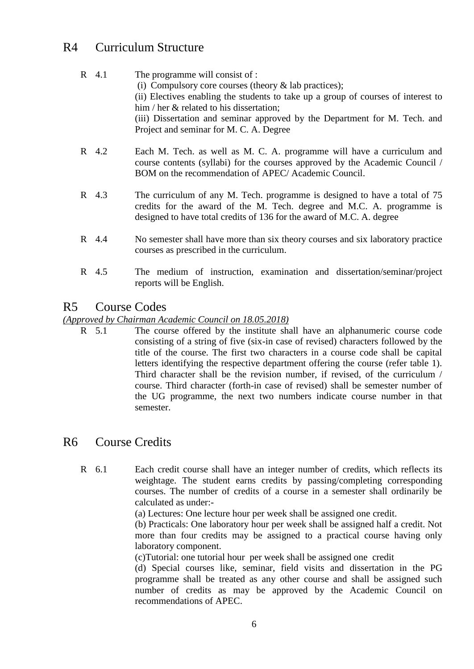### R4 Curriculum Structure

#### R 4.1 The programme will consist of :

(i) Compulsory core courses (theory  $&$  lab practices);

(ii) Electives enabling the students to take up a group of courses of interest to him / her & related to his dissertation;

(iii) Dissertation and seminar approved by the Department for M. Tech. and Project and seminar for M. C. A. Degree

- R 4.2 Each M. Tech. as well as M. C. A. programme will have a curriculum and course contents (syllabi) for the courses approved by the Academic Council / BOM on the recommendation of APEC/ Academic Council.
- R 4.3 The curriculum of any M. Tech. programme is designed to have a total of 75 credits for the award of the M. Tech. degree and M.C. A. programme is designed to have total credits of 136 for the award of M.C. A. degree
- R 4.4 No semester shall have more than six theory courses and six laboratory practice courses as prescribed in the curriculum.
- R 4.5 The medium of instruction, examination and dissertation/seminar/project reports will be English.

#### R5 Course Codes

#### *(Approved by Chairman Academic Council on 18.05.2018)*

R 5.1 The course offered by the institute shall have an alphanumeric course code consisting of a string of five (six-in case of revised) characters followed by the title of the course. The first two characters in a course code shall be capital letters identifying the respective department offering the course (refer table 1). Third character shall be the revision number, if revised, of the curriculum / course. Third character (forth-in case of revised) shall be semester number of the UG programme, the next two numbers indicate course number in that semester.

#### R6 Course Credits

R 6.1 Each credit course shall have an integer number of credits, which reflects its weightage. The student earns credits by passing/completing corresponding courses. The number of credits of a course in a semester shall ordinarily be calculated as under:-

(a) Lectures: One lecture hour per week shall be assigned one credit.

(b) Practicals: One laboratory hour per week shall be assigned half a credit. Not more than four credits may be assigned to a practical course having only laboratory component.

(c)Tutorial: one tutorial hour per week shall be assigned one credit

(d) Special courses like, seminar, field visits and dissertation in the PG programme shall be treated as any other course and shall be assigned such number of credits as may be approved by the Academic Council on recommendations of APEC.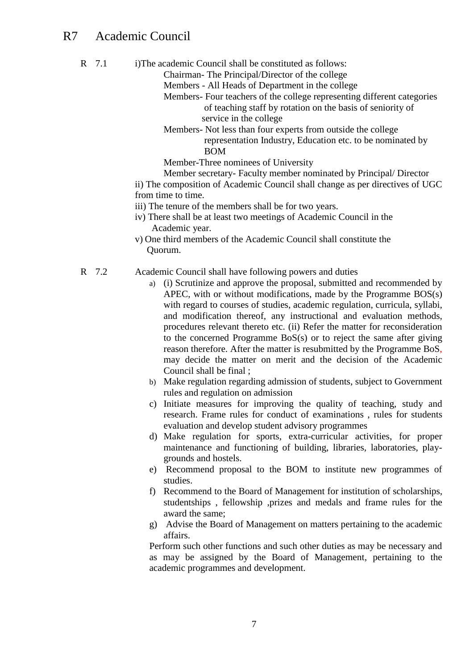#### R7 Academic Council

- R 7.1 i)The academic Council shall be constituted as follows:
	- Chairman- The Principal/Director of the college
		- Members All Heads of Department in the college

 Members- Four teachers of the college representing different categories of teaching staff by rotation on the basis of seniority of service in the college

 Members- Not less than four experts from outside the college representation Industry, Education etc. to be nominated by BOM

Member-Three nominees of University

 Member secretary- Faculty member nominated by Principal/ Director ii) The composition of Academic Council shall change as per directives of UGC from time to time.

- iii) The tenure of the members shall be for two years.
- iv) There shall be at least two meetings of Academic Council in the Academic year.
- v) One third members of the Academic Council shall constitute the Quorum.
- R 7.2 Academic Council shall have following powers and duties
	- a) (i) Scrutinize and approve the proposal, submitted and recommended by APEC, with or without modifications, made by the Programme BOS(s) with regard to courses of studies, academic regulation, curricula, syllabi, and modification thereof, any instructional and evaluation methods, procedures relevant thereto etc. (ii) Refer the matter for reconsideration to the concerned Programme BoS(s) or to reject the same after giving reason therefore. After the matter is resubmitted by the Programme BoS, may decide the matter on merit and the decision of the Academic Council shall be final ;
	- b) Make regulation regarding admission of students, subject to Government rules and regulation on admission
	- c) Initiate measures for improving the quality of teaching, study and research. Frame rules for conduct of examinations , rules for students evaluation and develop student advisory programmes
	- d) Make regulation for sports, extra-curricular activities, for proper maintenance and functioning of building, libraries, laboratories, playgrounds and hostels.
	- e) Recommend proposal to the BOM to institute new programmes of studies.
	- f) Recommend to the Board of Management for institution of scholarships, studentships , fellowship ,prizes and medals and frame rules for the award the same;
	- g) Advise the Board of Management on matters pertaining to the academic affairs.

Perform such other functions and such other duties as may be necessary and as may be assigned by the Board of Management, pertaining to the academic programmes and development.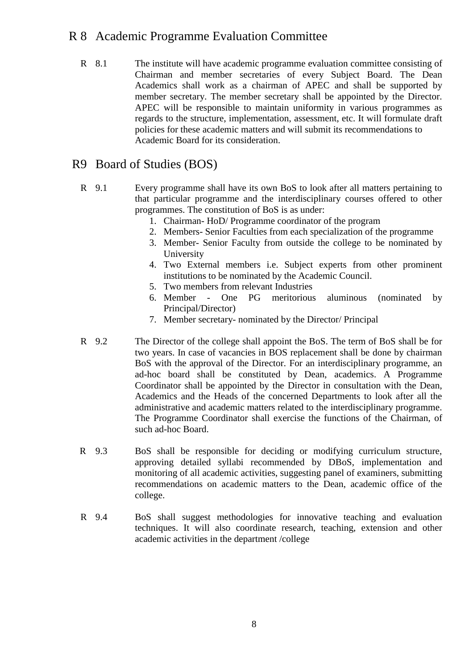### R 8 Academic Programme Evaluation Committee

R 8.1 The institute will have academic programme evaluation committee consisting of Chairman and member secretaries of every Subject Board. The Dean Academics shall work as a chairman of APEC and shall be supported by member secretary. The member secretary shall be appointed by the Director. APEC will be responsible to maintain uniformity in various programmes as regards to the structure, implementation, assessment, etc. It will formulate draft policies for these academic matters and will submit its recommendations to Academic Board for its consideration.

### R9 Board of Studies (BOS)

- R 9.1 Every programme shall have its own BoS to look after all matters pertaining to that particular programme and the interdisciplinary courses offered to other programmes. The constitution of BoS is as under:
	- 1. Chairman- HoD/ Programme coordinator of the program
	- 2. Members- Senior Faculties from each specialization of the programme
	- 3. Member- Senior Faculty from outside the college to be nominated by University
	- 4. Two External members i.e. Subject experts from other prominent institutions to be nominated by the Academic Council.
	- 5. Two members from relevant Industries
	- 6. Member One PG meritorious aluminous (nominated by Principal/Director)
	- 7. Member secretary- nominated by the Director/ Principal
- R 9.2 The Director of the college shall appoint the BoS. The term of BoS shall be for two years. In case of vacancies in BOS replacement shall be done by chairman BoS with the approval of the Director. For an interdisciplinary programme, an ad-hoc board shall be constituted by Dean, academics. A Programme Coordinator shall be appointed by the Director in consultation with the Dean, Academics and the Heads of the concerned Departments to look after all the administrative and academic matters related to the interdisciplinary programme. The Programme Coordinator shall exercise the functions of the Chairman, of such ad-hoc Board.
- R 9.3 BoS shall be responsible for deciding or modifying curriculum structure, approving detailed syllabi recommended by DBoS, implementation and monitoring of all academic activities, suggesting panel of examiners, submitting recommendations on academic matters to the Dean, academic office of the college.
- R 9.4 BoS shall suggest methodologies for innovative teaching and evaluation techniques. It will also coordinate research, teaching, extension and other academic activities in the department /college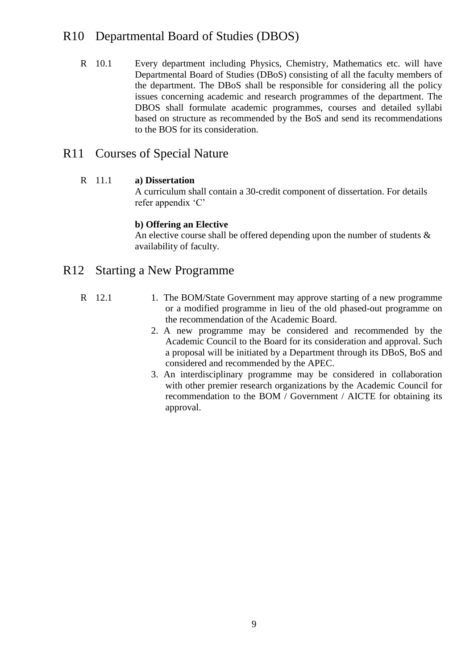### R10 Departmental Board of Studies (DBOS)

R 10.1 Every department including Physics, Chemistry, Mathematics etc. will have Departmental Board of Studies (DBoS) consisting of all the faculty members of the department. The DBoS shall be responsible for considering all the policy issues concerning academic and research programmes of the department. The DBOS shall formulate academic programmes, courses and detailed syllabi based on structure as recommended by the BoS and send its recommendations to the BOS for its consideration.

### R11 Courses of Special Nature

#### R 11.1 **a) Dissertation**

A curriculum shall contain a 30-credit component of dissertation. For details refer appendix 'C'

#### **b) Offering an Elective**

An elective course shall be offered depending upon the number of students & availability of faculty.

### R12 Starting a New Programme

- R 12.1 1. The BOM/State Government may approve starting of a new programme or a modified programme in lieu of the old phased-out programme on the recommendation of the Academic Board.
	- 2. A new programme may be considered and recommended by the Academic Council to the Board for its consideration and approval. Such a proposal will be initiated by a Department through its DBoS, BoS and considered and recommended by the APEC.
	- 3. An interdisciplinary programme may be considered in collaboration with other premier research organizations by the Academic Council for recommendation to the BOM / Government / AICTE for obtaining its approval.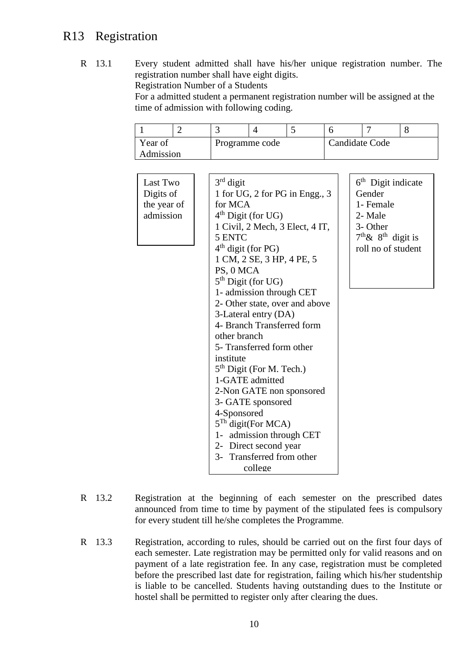### R13 Registration

R 13.1 Every student admitted shall have his/her unique registration number. The registration number shall have eight digits. Registration Number of a Students

For a admitted student a permanent registration number will be assigned at the time of admission with following coding.

| Year of<br>Admission |  | Programme code |  |  | Candidate Code |  |  |
|----------------------|--|----------------|--|--|----------------|--|--|

| 2-Non GATE non sponsored<br>3- GATE sponsored<br>4-Sponsored<br>$5Th$ digit(For MCA)<br>1- admission through CET<br>2- Direct second year<br>3- Transferred from other<br>college | other branch<br>5- Transferred form other<br>institute<br>5 <sup>th</sup> Digit (For M. Tech.)<br>1-GATE admitted |
|-----------------------------------------------------------------------------------------------------------------------------------------------------------------------------------|-------------------------------------------------------------------------------------------------------------------|
|-----------------------------------------------------------------------------------------------------------------------------------------------------------------------------------|-------------------------------------------------------------------------------------------------------------------|

- R 13.2 Registration at the beginning of each semester on the prescribed dates announced from time to time by payment of the stipulated fees is compulsory for every student till he/she completes the Programme.
- R 13.3 Registration, according to rules, should be carried out on the first four days of each semester. Late registration may be permitted only for valid reasons and on payment of a late registration fee. In any case, registration must be completed before the prescribed last date for registration, failing which his/her studentship is liable to be cancelled. Students having outstanding dues to the Institute or hostel shall be permitted to register only after clearing the dues.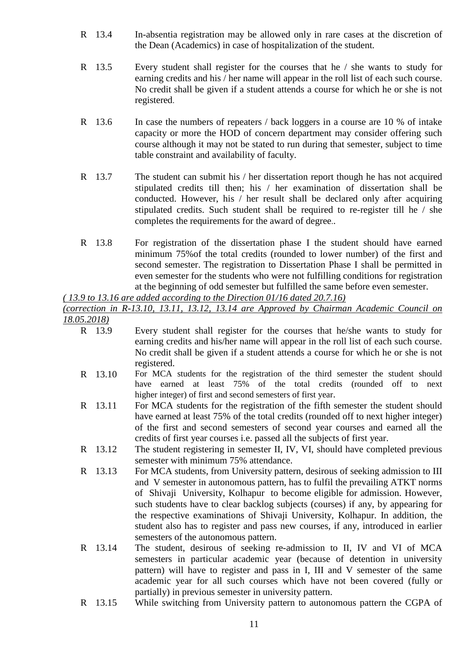- R 13.4 In-absentia registration may be allowed only in rare cases at the discretion of the Dean (Academics) in case of hospitalization of the student.
- R 13.5 Every student shall register for the courses that he / she wants to study for earning credits and his / her name will appear in the roll list of each such course. No credit shall be given if a student attends a course for which he or she is not registered.
- R 13.6 In case the numbers of repeaters / back loggers in a course are 10 % of intake capacity or more the HOD of concern department may consider offering such course although it may not be stated to run during that semester, subject to time table constraint and availability of faculty.
- R 13.7 The student can submit his / her dissertation report though he has not acquired stipulated credits till then; his / her examination of dissertation shall be conducted. However, his / her result shall be declared only after acquiring stipulated credits. Such student shall be required to re-register till he / she completes the requirements for the award of degree..
- R 13.8 For registration of the dissertation phase I the student should have earned minimum 75%of the total credits (rounded to lower number) of the first and second semester. The registration to Dissertation Phase I shall be permitted in even semester for the students who were not fulfilling conditions for registration at the beginning of odd semester but fulfilled the same before even semester.

*( 13.9 to 13.16 are added according to the Direction 01/16 dated 20.7.16)*

*(correction in R-13.10, 13.11, 13.12, 13.14 are Approved by Chairman Academic Council on* 

- *18.05.2018)* Every student shall register for the courses that he/she wants to study for earning credits and his/her name will appear in the roll list of each such course. No credit shall be given if a student attends a course for which he or she is not registered.
	- R 13.10 For MCA students for the registration of the third semester the student should have earned at least 75% of the total credits (rounded off to next higher integer) of first and second semesters of first year.
	- R 13.11 For MCA students for the registration of the fifth semester the student should have earned at least 75% of the total credits (rounded off to next higher integer) of the first and second semesters of second year courses and earned all the credits of first year courses i.e. passed all the subjects of first year.
	- R 13.12 The student registering in semester II, IV, VI, should have completed previous semester with minimum 75% attendance.
	- R 13.13 For MCA students, from University pattern, desirous of seeking admission to III and V semester in autonomous pattern, has to fulfil the prevailing ATKT norms of Shivaji University, Kolhapur to become eligible for admission. However, such students have to clear backlog subjects (courses) if any, by appearing for the respective examinations of Shivaji University, Kolhapur. In addition, the student also has to register and pass new courses, if any, introduced in earlier semesters of the autonomous pattern.
	- R 13.14 The student, desirous of seeking re-admission to II, IV and VI of MCA semesters in particular academic year (because of detention in university pattern) will have to register and pass in I, III and V semester of the same academic year for all such courses which have not been covered (fully or partially) in previous semester in university pattern.
	- R 13.15 While switching from University pattern to autonomous pattern the CGPA of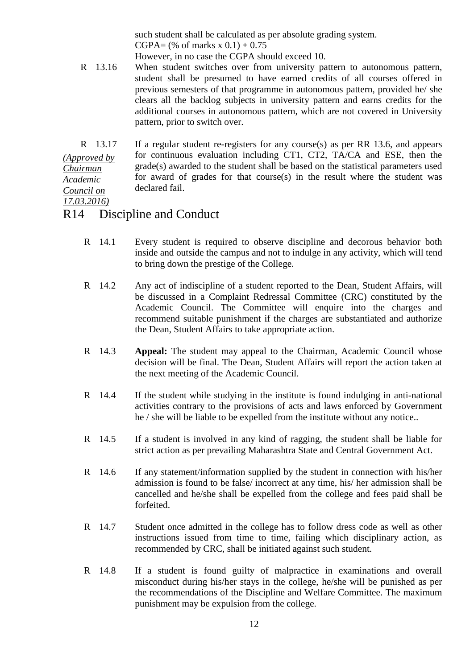such student shall be calculated as per absolute grading system.  $CGPA =$  (% of marks x 0.1) + 0.75

However, in no case the CGPA should exceed 10.

- R 13.16 When student switches over from university pattern to autonomous pattern, student shall be presumed to have earned credits of all courses offered in previous semesters of that programme in autonomous pattern, provided he/ she clears all the backlog subjects in university pattern and earns credits for the additional courses in autonomous pattern, which are not covered in University pattern, prior to switch over.
- R 13.17 If a regular student re-registers for any course(s) as per RR 13.6, and appears for continuous evaluation including CT1, CT2, TA/CA and ESE, then the grade(s) awarded to the student shall be based on the statistical parameters used for award of grades for that course(s) in the result where the student was declared fail. *(Approved by Chairman Academic Council on*

```
17.03.2016)
```
### R14 Discipline and Conduct

- R 14.1 Every student is required to observe discipline and decorous behavior both inside and outside the campus and not to indulge in any activity, which will tend to bring down the prestige of the College.
- R 14.2 Any act of indiscipline of a student reported to the Dean, Student Affairs, will be discussed in a Complaint Redressal Committee (CRC) constituted by the Academic Council. The Committee will enquire into the charges and recommend suitable punishment if the charges are substantiated and authorize the Dean, Student Affairs to take appropriate action.
- R 14.3 **Appeal:** The student may appeal to the Chairman, Academic Council whose decision will be final. The Dean, Student Affairs will report the action taken at the next meeting of the Academic Council.
- R 14.4 If the student while studying in the institute is found indulging in anti-national activities contrary to the provisions of acts and laws enforced by Government he / she will be liable to be expelled from the institute without any notice..
- R 14.5 If a student is involved in any kind of ragging, the student shall be liable for strict action as per prevailing Maharashtra State and Central Government Act.
- R 14.6 If any statement/information supplied by the student in connection with his/her admission is found to be false/ incorrect at any time, his/ her admission shall be cancelled and he/she shall be expelled from the college and fees paid shall be forfeited.
- R 14.7 Student once admitted in the college has to follow dress code as well as other instructions issued from time to time, failing which disciplinary action, as recommended by CRC, shall be initiated against such student.
- R 14.8 If a student is found guilty of malpractice in examinations and overall misconduct during his/her stays in the college, he/she will be punished as per the recommendations of the Discipline and Welfare Committee. The maximum punishment may be expulsion from the college.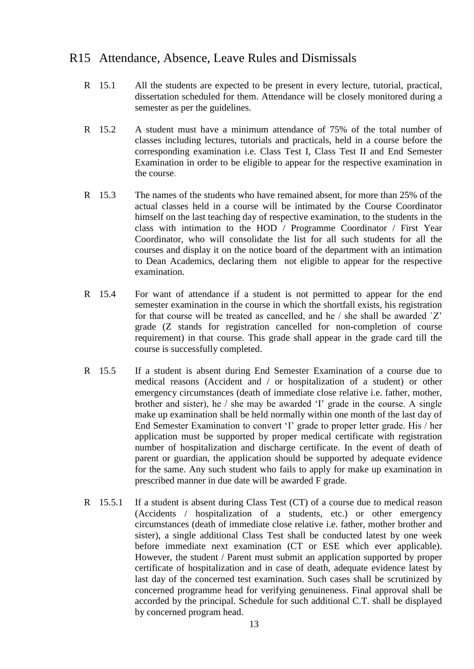### R15 Attendance, Absence, Leave Rules and Dismissals

- R 15.1 All the students are expected to be present in every lecture, tutorial, practical, dissertation scheduled for them. Attendance will be closely monitored during a semester as per the guidelines.
- R 15.2 A student must have a minimum attendance of 75% of the total number of classes including lectures, tutorials and practicals, held in a course before the corresponding examination i.e. Class Test I, Class Test II and End Semester Examination in order to be eligible to appear for the respective examination in the course.
- R 15.3 The names of the students who have remained absent, for more than 25% of the actual classes held in a course will be intimated by the Course Coordinator himself on the last teaching day of respective examination, to the students in the class with intimation to the HOD / Programme Coordinator / First Year Coordinator, who will consolidate the list for all such students for all the courses and display it on the notice board of the department with an intimation to Dean Academics, declaring them not eligible to appear for the respective examination.
- R 15.4 For want of attendance if a student is not permitted to appear for the end semester examination in the course in which the shortfall exists, his registration for that course will be treated as cancelled, and he / she shall be awarded `Z' grade (Z stands for registration cancelled for non-completion of course requirement) in that course. This grade shall appear in the grade card till the course is successfully completed.
- R 15.5 If a student is absent during End Semester Examination of a course due to medical reasons (Accident and / or hospitalization of a student) or other emergency circumstances (death of immediate close relative i.e. father, mother, brother and sister), he / she may be awarded 'I' grade in the course. A single make up examination shall be held normally within one month of the last day of End Semester Examination to convert 'I' grade to proper letter grade. His / her application must be supported by proper medical certificate with registration number of hospitalization and discharge certificate. In the event of death of parent or guardian, the application should be supported by adequate evidence for the same. Any such student who fails to apply for make up examination in prescribed manner in due date will be awarded F grade.
- R 15.5.1 If a student is absent during Class Test (CT) of a course due to medical reason (Accidents / hospitalization of a students, etc.) or other emergency circumstances (death of immediate close relative i.e. father, mother brother and sister), a single additional Class Test shall be conducted latest by one week before immediate next examination (CT or ESE which ever applicable). However, the student / Parent must submit an application supported by proper certificate of hospitalization and in case of death, adequate evidence latest by last day of the concerned test examination. Such cases shall be scrutinized by concerned programme head for verifying genuineness. Final approval shall be accorded by the principal. Schedule for such additional C.T. shall be displayed by concerned program head.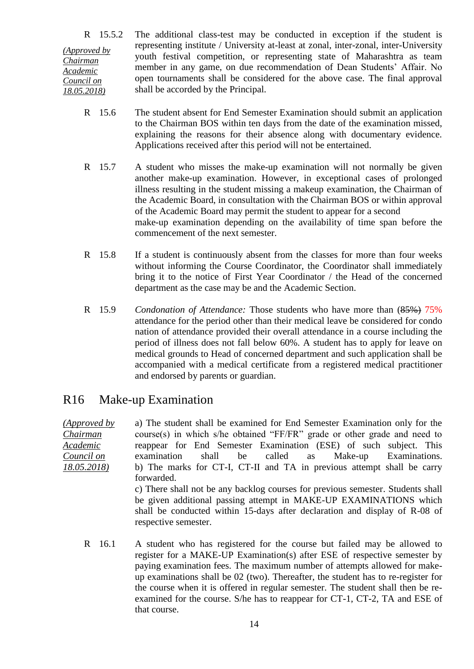- R 15.5.2 The additional class-test may be conducted in exception if the student is representing institute / University at-least at zonal, inter-zonal, inter-University youth festival competition, or representing state of Maharashtra as team member in any game, on due recommendation of Dean Students' Affair. No open tournaments shall be considered for the above case. The final approval shall be accorded by the Principal. *(Approved by Chairman Academic Council on 18.05.2018)*
	- R 15.6 The student absent for End Semester Examination should submit an application to the Chairman BOS within ten days from the date of the examination missed, explaining the reasons for their absence along with documentary evidence. Applications received after this period will not be entertained.
	- R 15.7 A student who misses the make-up examination will not normally be given another make-up examination. However, in exceptional cases of prolonged illness resulting in the student missing a makeup examination, the Chairman of the Academic Board, in consultation with the Chairman BOS or within approval of the Academic Board may permit the student to appear for a second make-up examination depending on the availability of time span before the commencement of the next semester.
	- R 15.8 If a student is continuously absent from the classes for more than four weeks without informing the Course Coordinator, the Coordinator shall immediately bring it to the notice of First Year Coordinator / the Head of the concerned department as the case may be and the Academic Section.
	- R 15.9 *Condonation of Attendance:* Those students who have more than (85%) 75% attendance for the period other than their medical leave be considered for condo nation of attendance provided their overall attendance in a course including the period of illness does not fall below 60%. A student has to apply for leave on medical grounds to Head of concerned department and such application shall be accompanied with a medical certificate from a registered medical practitioner and endorsed by parents or guardian.

### R16 Make-up Examination

*(Approved by Chairman Academic Council on 18.05.2018)* a) The student shall be examined for End Semester Examination only for the course(s) in which s/he obtained "FF/FR" grade or other grade and need to reappear for End Semester Examination (ESE) of such subject. This examination shall be called as Make-up Examinations. b) The marks for CT-I, CT-II and TA in previous attempt shall be carry forwarded. c) There shall not be any backlog courses for previous semester. Students shall be given additional passing attempt in MAKE-UP EXAMINATIONS which

shall be conducted within 15-days after declaration and display of R-08 of respective semester.

R 16.1 A student who has registered for the course but failed may be allowed to register for a MAKE-UP Examination(s) after ESE of respective semester by paying examination fees. The maximum number of attempts allowed for makeup examinations shall be 02 (two). Thereafter, the student has to re-register for the course when it is offered in regular semester. The student shall then be reexamined for the course. S/he has to reappear for CT-1, CT-2, TA and ESE of that course.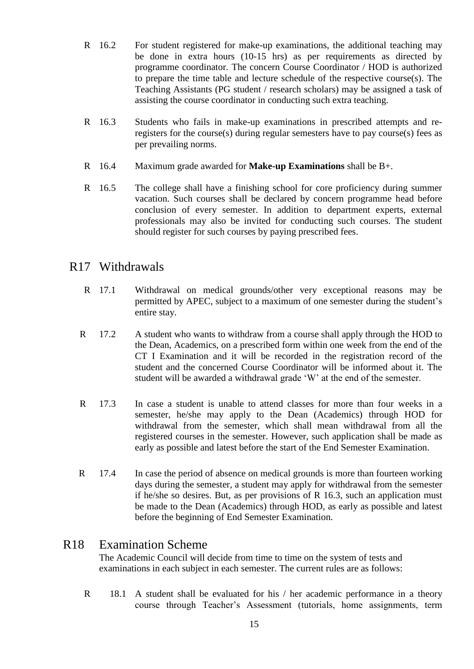- R 16.2 For student registered for make-up examinations, the additional teaching may be done in extra hours (10-15 hrs) as per requirements as directed by programme coordinator. The concern Course Coordinator / HOD is authorized to prepare the time table and lecture schedule of the respective course $(s)$ . The Teaching Assistants (PG student / research scholars) may be assigned a task of assisting the course coordinator in conducting such extra teaching.
- R 16.3 Students who fails in make-up examinations in prescribed attempts and reregisters for the course(s) during regular semesters have to pay course(s) fees as per prevailing norms.
- R 16.4 Maximum grade awarded for **Make-up Examinations** shall be B+.
- R 16.5 The college shall have a finishing school for core proficiency during summer vacation. Such courses shall be declared by concern programme head before conclusion of every semester. In addition to department experts, external professionals may also be invited for conducting such courses. The student should register for such courses by paying prescribed fees.

### R17 Withdrawals

- R 17.1 Withdrawal on medical grounds/other very exceptional reasons may be permitted by APEC, subject to a maximum of one semester during the student's entire stay.
- R 17.2 A student who wants to withdraw from a course shall apply through the HOD to the Dean, Academics, on a prescribed form within one week from the end of the CT I Examination and it will be recorded in the registration record of the student and the concerned Course Coordinator will be informed about it. The student will be awarded a withdrawal grade 'W' at the end of the semester.
- R 17.3 In case a student is unable to attend classes for more than four weeks in a semester, he/she may apply to the Dean (Academics) through HOD for withdrawal from the semester, which shall mean withdrawal from all the registered courses in the semester. However, such application shall be made as early as possible and latest before the start of the End Semester Examination.
- R 17.4 In case the period of absence on medical grounds is more than fourteen working days during the semester, a student may apply for withdrawal from the semester if he/she so desires. But, as per provisions of R 16.3, such an application must be made to the Dean (Academics) through HOD, as early as possible and latest before the beginning of End Semester Examination.

#### R18 Examination Scheme

The Academic Council will decide from time to time on the system of tests and examinations in each subject in each semester. The current rules are as follows:

R 18.1 A student shall be evaluated for his / her academic performance in a theory course through Teacher's Assessment (tutorials, home assignments, term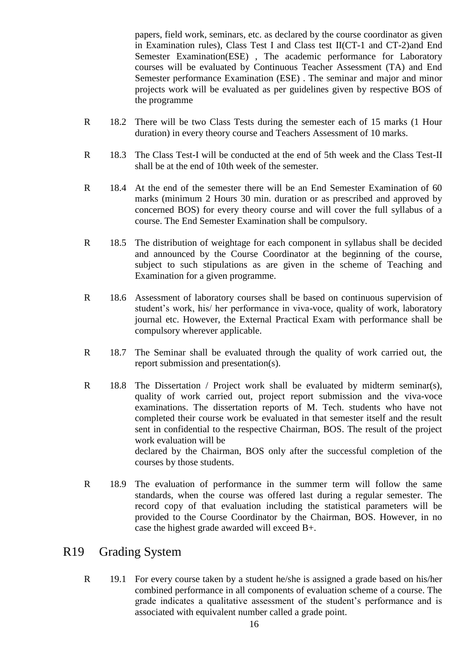papers, field work, seminars, etc. as declared by the course coordinator as given in Examination rules), Class Test I and Class test II(CT-1 and CT-2)and End Semester Examination(ESE) , The academic performance for Laboratory courses will be evaluated by Continuous Teacher Assessment (TA) and End Semester performance Examination (ESE) . The seminar and major and minor projects work will be evaluated as per guidelines given by respective BOS of the programme

- R 18.2 There will be two Class Tests during the semester each of 15 marks (1 Hour duration) in every theory course and Teachers Assessment of 10 marks.
- R 18.3 The Class Test-I will be conducted at the end of 5th week and the Class Test-II shall be at the end of 10th week of the semester.
- R 18.4 At the end of the semester there will be an End Semester Examination of 60 marks (minimum 2 Hours 30 min. duration or as prescribed and approved by concerned BOS) for every theory course and will cover the full syllabus of a course. The End Semester Examination shall be compulsory.
- R 18.5 The distribution of weightage for each component in syllabus shall be decided and announced by the Course Coordinator at the beginning of the course, subject to such stipulations as are given in the scheme of Teaching and Examination for a given programme.
- R 18.6 Assessment of laboratory courses shall be based on continuous supervision of student's work, his/ her performance in viva-voce, quality of work, laboratory journal etc. However, the External Practical Exam with performance shall be compulsory wherever applicable.
- R 18.7 The Seminar shall be evaluated through the quality of work carried out, the report submission and presentation(s).
- R 18.8 The Dissertation / Project work shall be evaluated by midterm seminar(s), quality of work carried out, project report submission and the viva-voce examinations. The dissertation reports of M. Tech. students who have not completed their course work be evaluated in that semester itself and the result sent in confidential to the respective Chairman, BOS. The result of the project work evaluation will be declared by the Chairman, BOS only after the successful completion of the courses by those students.
- R 18.9 The evaluation of performance in the summer term will follow the same standards, when the course was offered last during a regular semester. The record copy of that evaluation including the statistical parameters will be provided to the Course Coordinator by the Chairman, BOS. However, in no case the highest grade awarded will exceed B+.

### R19 Grading System

R 19.1 For every course taken by a student he/she is assigned a grade based on his/her combined performance in all components of evaluation scheme of a course. The grade indicates a qualitative assessment of the student's performance and is associated with equivalent number called a grade point.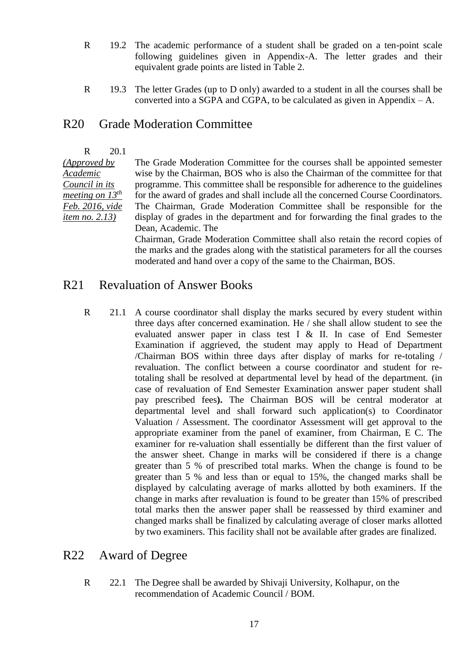- R 19.2 The academic performance of a student shall be graded on a ten-point scale following guidelines given in Appendix-A. The letter grades and their equivalent grade points are listed in Table 2.
- R 19.3 The letter Grades (up to D only) awarded to a student in all the courses shall be converted into a SGPA and CGPA, to be calculated as given in Appendix  $-A$ .

#### R20 Grade Moderation Committee

R 20.1

*(Approved by Academic Council in its meeting on 13th Feb. 2016, vide item no. 2.13)* 

The Grade Moderation Committee for the courses shall be appointed semester wise by the Chairman, BOS who is also the Chairman of the committee for that programme. This committee shall be responsible for adherence to the guidelines for the award of grades and shall include all the concerned Course Coordinators. The Chairman, Grade Moderation Committee shall be responsible for the display of grades in the department and for forwarding the final grades to the Dean, Academic. The

Chairman, Grade Moderation Committee shall also retain the record copies of the marks and the grades along with the statistical parameters for all the courses moderated and hand over a copy of the same to the Chairman, BOS.

### R21 Revaluation of Answer Books

R 21.1 A course coordinator shall display the marks secured by every student within three days after concerned examination. He / she shall allow student to see the evaluated answer paper in class test I & II. In case of End Semester Examination if aggrieved, the student may apply to Head of Department /Chairman BOS within three days after display of marks for re-totaling / revaluation. The conflict between a course coordinator and student for retotaling shall be resolved at departmental level by head of the department. (in case of revaluation of End Semester Examination answer paper student shall pay prescribed fees**).** The Chairman BOS will be central moderator at departmental level and shall forward such application(s) to Coordinator Valuation / Assessment. The coordinator Assessment will get approval to the appropriate examiner from the panel of examiner, from Chairman, E C. The examiner for re-valuation shall essentially be different than the first valuer of the answer sheet. Change in marks will be considered if there is a change greater than 5 % of prescribed total marks. When the change is found to be greater than 5 % and less than or equal to 15%, the changed marks shall be displayed by calculating average of marks allotted by both examiners. If the change in marks after revaluation is found to be greater than 15% of prescribed total marks then the answer paper shall be reassessed by third examiner and changed marks shall be finalized by calculating average of closer marks allotted by two examiners. This facility shall not be available after grades are finalized.

#### R22 Award of Degree

R 22.1 The Degree shall be awarded by Shivaji University, Kolhapur, on the recommendation of Academic Council / BOM.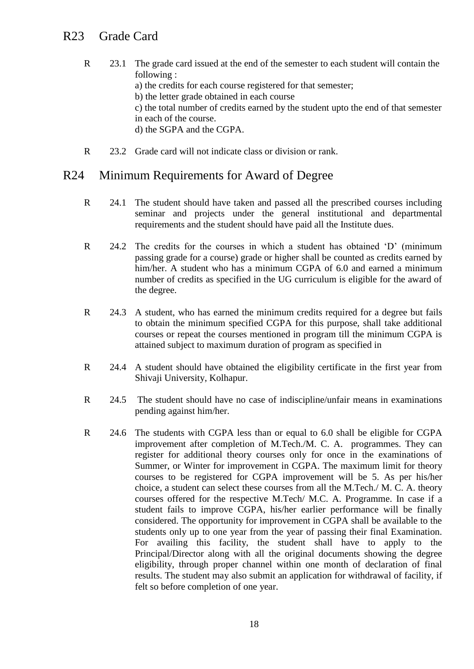### R23 Grade Card

- R 23.1 The grade card issued at the end of the semester to each student will contain the following :
	- a) the credits for each course registered for that semester;
	- b) the letter grade obtained in each course
	- c) the total number of credits earned by the student upto the end of that semester in each of the course.
	- d) the SGPA and the CGPA.
- R 23.2 Grade card will not indicate class or division or rank.

### R24 Minimum Requirements for Award of Degree

- R 24.1 The student should have taken and passed all the prescribed courses including seminar and projects under the general institutional and departmental requirements and the student should have paid all the Institute dues.
- R 24.2 The credits for the courses in which a student has obtained 'D' (minimum passing grade for a course) grade or higher shall be counted as credits earned by him/her. A student who has a minimum CGPA of 6.0 and earned a minimum number of credits as specified in the UG curriculum is eligible for the award of the degree.
- R 24.3 A student, who has earned the minimum credits required for a degree but fails to obtain the minimum specified CGPA for this purpose, shall take additional courses or repeat the courses mentioned in program till the minimum CGPA is attained subject to maximum duration of program as specified in
- R 24.4 A student should have obtained the eligibility certificate in the first year from Shivaji University, Kolhapur.
- R 24.5 The student should have no case of indiscipline/unfair means in examinations pending against him/her.
- R 24.6 The students with CGPA less than or equal to 6.0 shall be eligible for CGPA improvement after completion of M.Tech./M. C. A. programmes. They can register for additional theory courses only for once in the examinations of Summer, or Winter for improvement in CGPA. The maximum limit for theory courses to be registered for CGPA improvement will be 5. As per his/her choice, a student can select these courses from all the M.Tech./ M. C. A. theory courses offered for the respective M.Tech/ M.C. A. Programme. In case if a student fails to improve CGPA, his/her earlier performance will be finally considered. The opportunity for improvement in CGPA shall be available to the students only up to one year from the year of passing their final Examination. For availing this facility, the student shall have to apply to the Principal/Director along with all the original documents showing the degree eligibility, through proper channel within one month of declaration of final results. The student may also submit an application for withdrawal of facility, if felt so before completion of one year.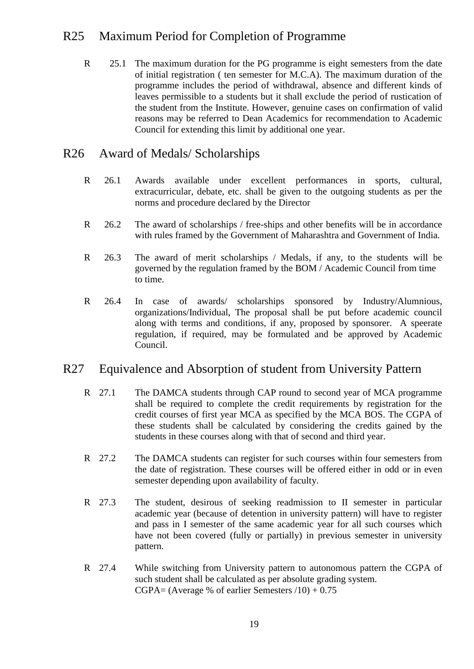### R25 Maximum Period for Completion of Programme

R 25.1 The maximum duration for the PG programme is eight semesters from the date of initial registration ( ten semester for M.C.A). The maximum duration of the programme includes the period of withdrawal, absence and different kinds of leaves permissible to a students but it shall exclude the period of rustication of the student from the Institute. However, genuine cases on confirmation of valid reasons may be referred to Dean Academics for recommendation to Academic Council for extending this limit by additional one year.

### R26 Award of Medals/ Scholarships

- R 26.1 Awards available under excellent performances in sports, cultural, extracurricular, debate, etc. shall be given to the outgoing students as per the norms and procedure declared by the Director
- R 26.2 The award of scholarships / free-ships and other benefits will be in accordance with rules framed by the Government of Maharashtra and Government of India.
- R 26.3 The award of merit scholarships / Medals, if any, to the students will be governed by the regulation framed by the BOM / Academic Council from time to time.
- R 26.4 In case of awards/ scholarships sponsored by Industry/Alumnious, organizations/Individual, The proposal shall be put before academic council along with terms and conditions, if any, proposed by sponsorer. A speerate regulation, if required, may be formulated and be approved by Academic Council.

#### R27 Equivalence and Absorption of student from University Pattern

- R 27.1 The DAMCA students through CAP round to second year of MCA programme shall be required to complete the credit requirements by registration for the credit courses of first year MCA as specified by the MCA BOS. The CGPA of these students shall be calculated by considering the credits gained by the students in these courses along with that of second and third year.
- R 27.2 The DAMCA students can register for such courses within four semesters from the date of registration. These courses will be offered either in odd or in even semester depending upon availability of faculty.
- R 27.3 The student, desirous of seeking readmission to II semester in particular academic year (because of detention in university pattern) will have to register and pass in I semester of the same academic year for all such courses which have not been covered (fully or partially) in previous semester in university pattern.
- R 27.4 While switching from University pattern to autonomous pattern the CGPA of such student shall be calculated as per absolute grading system. CGPA= (Average % of earlier Semesters  $/10$ ) + 0.75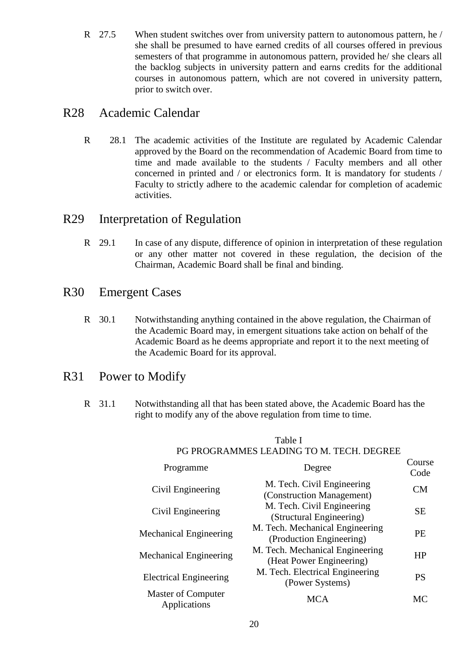R 27.5 When student switches over from university pattern to autonomous pattern, he / she shall be presumed to have earned credits of all courses offered in previous semesters of that programme in autonomous pattern, provided he/ she clears all the backlog subjects in university pattern and earns credits for the additional courses in autonomous pattern, which are not covered in university pattern, prior to switch over.

### R28 Academic Calendar

R 28.1 The academic activities of the Institute are regulated by Academic Calendar approved by the Board on the recommendation of Academic Board from time to time and made available to the students / Faculty members and all other concerned in printed and / or electronics form. It is mandatory for students / Faculty to strictly adhere to the academic calendar for completion of academic activities.

### R29 Interpretation of Regulation

- R 29.1 In case of any dispute, difference of opinion in interpretation of these regulation or any other matter not covered in these regulation, the decision of the Chairman, Academic Board shall be final and binding.
- R30 Emergent Cases
	- R 30.1 Notwithstanding anything contained in the above regulation, the Chairman of the Academic Board may, in emergent situations take action on behalf of the Academic Board as he deems appropriate and report it to the next meeting of the Academic Board for its approval.

### R31 Power to Modify

R 31.1 Notwithstanding all that has been stated above, the Academic Board has the right to modify any of the above regulation from time to time.

| Programme                          | Degree                                                      | Course<br>Code |
|------------------------------------|-------------------------------------------------------------|----------------|
| Civil Engineering                  | M. Tech. Civil Engineering<br>(Construction Management)     | CM             |
| Civil Engineering                  | M. Tech. Civil Engineering<br>(Structural Engineering)      | <b>SE</b>      |
| <b>Mechanical Engineering</b>      | M. Tech. Mechanical Engineering<br>(Production Engineering) | <b>PE</b>      |
| <b>Mechanical Engineering</b>      | M. Tech. Mechanical Engineering<br>(Heat Power Engineering) | HP             |
| <b>Electrical Engineering</b>      | M. Tech. Electrical Engineering<br>(Power Systems)          | <b>PS</b>      |
| Master of Computer<br>Applications | <b>MCA</b>                                                  | MC             |

#### Table I PG PROGRAMMES LEADING TO M. TECH. DEGREE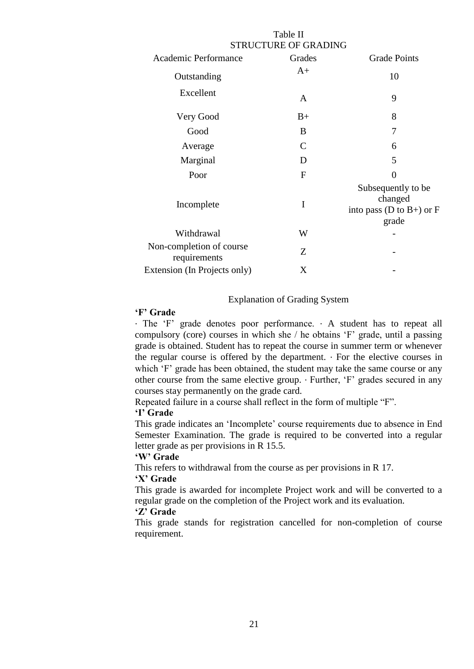|                                          | таріс п<br><b>STRUCTURE OF GRADING</b> |                                                                       |
|------------------------------------------|----------------------------------------|-----------------------------------------------------------------------|
| Academic Performance                     | Grades                                 | <b>Grade Points</b>                                                   |
| Outstanding                              | $A+$                                   | 10                                                                    |
| Excellent                                | A                                      | 9                                                                     |
| Very Good                                | $B+$                                   | 8                                                                     |
| Good                                     | B                                      | 7                                                                     |
| Average                                  | $\mathsf{C}$                           | 6                                                                     |
| Marginal                                 | D                                      | 5                                                                     |
| Poor                                     | F                                      | $\Omega$                                                              |
| Incomplete                               | I                                      | Subsequently to be<br>changed<br>into pass (D to $B+$ ) or F<br>grade |
| Withdrawal                               | W                                      |                                                                       |
| Non-completion of course<br>requirements | Z                                      |                                                                       |
| Extension (In Projects only)             | X                                      |                                                                       |

Table II

#### Explanation of Grading System

#### **'F' Grade**

· The 'F' grade denotes poor performance. · A student has to repeat all compulsory (core) courses in which she / he obtains 'F' grade, until a passing grade is obtained. Student has to repeat the course in summer term or whenever the regular course is offered by the department. · For the elective courses in which 'F' grade has been obtained, the student may take the same course or any other course from the same elective group. · Further, 'F' grades secured in any courses stay permanently on the grade card.

Repeated failure in a course shall reflect in the form of multiple "F".

#### **'I' Grade**

This grade indicates an 'Incomplete' course requirements due to absence in End Semester Examination. The grade is required to be converted into a regular letter grade as per provisions in R 15.5.

#### **'W' Grade**

This refers to withdrawal from the course as per provisions in R 17.

#### **'X' Grade**

This grade is awarded for incomplete Project work and will be converted to a regular grade on the completion of the Project work and its evaluation.

#### **'Z' Grade**

This grade stands for registration cancelled for non-completion of course requirement.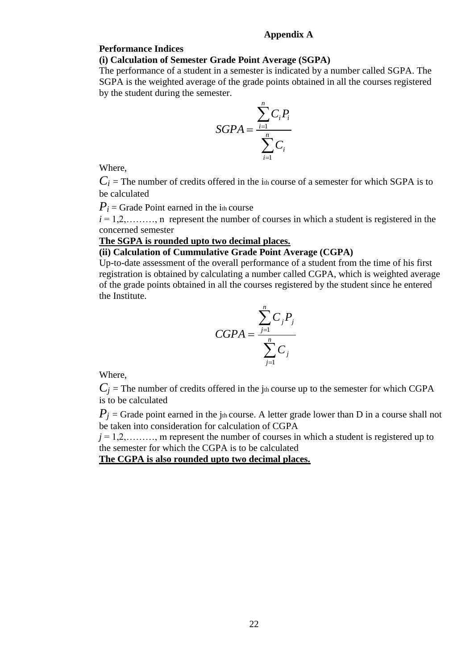#### **Appendix A**

#### **Performance Indices**

#### **(i) Calculation of Semester Grade Point Average (SGPA)**

The performance of a student in a semester is indicated by a number called SGPA. The SGPA is the weighted average of the grade points obtained in all the courses registered by the student during the semester.

$$
SGPA = \frac{\sum_{i=1}^{n} C_i P_i}{\sum_{i=1}^{n} C_i}
$$

Where,

 $C_i$  = The number of credits offered in the i<sub>th</sub> course of a semester for which SGPA is to be calculated

 $P_i$  = Grade Point earned in the i<sub>th</sub> course

 $i = 1, 2, \ldots, n$  represent the number of courses in which a student is registered in the concerned semester

#### **The SGPA is rounded upto two decimal places.**

#### **(ii) Calculation of Cummulative Grade Point Average (CGPA)**

Up-to-date assessment of the overall performance of a student from the time of his first registration is obtained by calculating a number called CGPA, which is weighted average of the grade points obtained in all the courses registered by the student since he entered the Institute.

$$
CGPA = \frac{\sum_{j=1}^{n} C_j P_j}{\sum_{j=1}^{n} C_j}
$$

Where,

 $C_j$  = The number of credits offered in the jth course up to the semester for which CGPA is to be calculated

 $P_i$  = Grade point earned in the j<sub>th</sub> course. A letter grade lower than D in a course shall not be taken into consideration for calculation of CGPA

 $j = 1, 2, \ldots,$  m represent the number of courses in which a student is registered up to the semester for which the CGPA is to be calculated

**The CGPA is also rounded upto two decimal places.**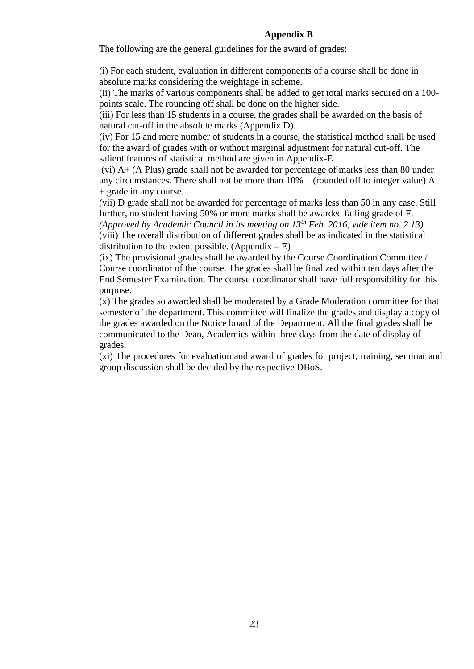#### **Appendix B**

The following are the general guidelines for the award of grades:

(i) For each student, evaluation in different components of a course shall be done in absolute marks considering the weightage in scheme.

(ii) The marks of various components shall be added to get total marks secured on a 100 points scale. The rounding off shall be done on the higher side.

(iii) For less than 15 students in a course, the grades shall be awarded on the basis of natural cut-off in the absolute marks (Appendix D).

(iv) For 15 and more number of students in a course, the statistical method shall be used for the award of grades with or without marginal adjustment for natural cut-off. The salient features of statistical method are given in Appendix-E.

(vi) A+ (A Plus) grade shall not be awarded for percentage of marks less than 80 under any circumstances. There shall not be more than 10% (rounded off to integer value) A + grade in any course.

(vii) D grade shall not be awarded for percentage of marks less than 50 in any case. Still further, no student having 50% or more marks shall be awarded failing grade of F.

*(Approved by Academic Council in its meeting on 13th Feb. 2016, vide item no. 2.13)*  (viii) The overall distribution of different grades shall be as indicated in the statistical distribution to the extent possible. (Appendix  $-E$ )

(ix) The provisional grades shall be awarded by the Course Coordination Committee / Course coordinator of the course. The grades shall be finalized within ten days after the End Semester Examination. The course coordinator shall have full responsibility for this purpose.

(x) The grades so awarded shall be moderated by a Grade Moderation committee for that semester of the department. This committee will finalize the grades and display a copy of the grades awarded on the Notice board of the Department. All the final grades shall be communicated to the Dean, Academics within three days from the date of display of grades.

(xi) The procedures for evaluation and award of grades for project, training, seminar and group discussion shall be decided by the respective DBoS.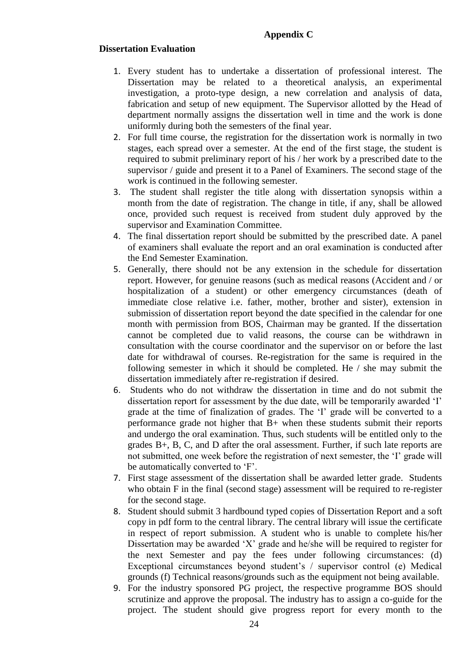#### **Appendix C**

#### **Dissertation Evaluation**

- 1. Every student has to undertake a dissertation of professional interest. The Dissertation may be related to a theoretical analysis, an experimental investigation, a proto-type design, a new correlation and analysis of data, fabrication and setup of new equipment. The Supervisor allotted by the Head of department normally assigns the dissertation well in time and the work is done uniformly during both the semesters of the final year.
- 2. For full time course, the registration for the dissertation work is normally in two stages, each spread over a semester. At the end of the first stage, the student is required to submit preliminary report of his / her work by a prescribed date to the supervisor / guide and present it to a Panel of Examiners. The second stage of the work is continued in the following semester.
- 3. The student shall register the title along with dissertation synopsis within a month from the date of registration. The change in title, if any, shall be allowed once, provided such request is received from student duly approved by the supervisor and Examination Committee.
- 4. The final dissertation report should be submitted by the prescribed date. A panel of examiners shall evaluate the report and an oral examination is conducted after the End Semester Examination.
- 5. Generally, there should not be any extension in the schedule for dissertation report. However, for genuine reasons (such as medical reasons (Accident and / or hospitalization of a student) or other emergency circumstances (death of immediate close relative i.e. father, mother, brother and sister), extension in submission of dissertation report beyond the date specified in the calendar for one month with permission from BOS, Chairman may be granted. If the dissertation cannot be completed due to valid reasons, the course can be withdrawn in consultation with the course coordinator and the supervisor on or before the last date for withdrawal of courses. Re-registration for the same is required in the following semester in which it should be completed. He / she may submit the dissertation immediately after re-registration if desired.
- 6. Students who do not withdraw the dissertation in time and do not submit the dissertation report for assessment by the due date, will be temporarily awarded 'I' grade at the time of finalization of grades. The 'I' grade will be converted to a performance grade not higher that B+ when these students submit their reports and undergo the oral examination. Thus, such students will be entitled only to the grades B+, B, C, and D after the oral assessment. Further, if such late reports are not submitted, one week before the registration of next semester, the 'I' grade will be automatically converted to 'F'.
- 7. First stage assessment of the dissertation shall be awarded letter grade. Students who obtain F in the final (second stage) assessment will be required to re-register for the second stage.
- 8. Student should submit 3 hardbound typed copies of Dissertation Report and a soft copy in pdf form to the central library. The central library will issue the certificate in respect of report submission. A student who is unable to complete his/her Dissertation may be awarded 'X' grade and he/she will be required to register for the next Semester and pay the fees under following circumstances: (d) Exceptional circumstances beyond student's / supervisor control (e) Medical grounds (f) Technical reasons/grounds such as the equipment not being available.
- 9. For the industry sponsored PG project, the respective programme BOS should scrutinize and approve the proposal. The industry has to assign a co-guide for the project. The student should give progress report for every month to the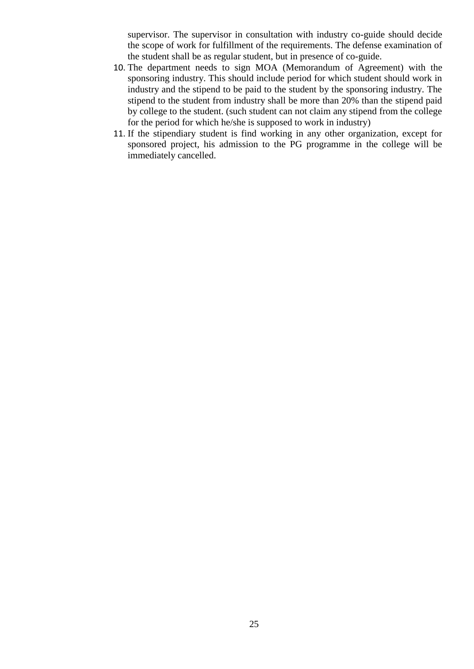supervisor. The supervisor in consultation with industry co-guide should decide the scope of work for fulfillment of the requirements. The defense examination of the student shall be as regular student, but in presence of co-guide.

- 10. The department needs to sign MOA (Memorandum of Agreement) with the sponsoring industry. This should include period for which student should work in industry and the stipend to be paid to the student by the sponsoring industry. The stipend to the student from industry shall be more than 20% than the stipend paid by college to the student. (such student can not claim any stipend from the college for the period for which he/she is supposed to work in industry)
- 11. If the stipendiary student is find working in any other organization, except for sponsored project, his admission to the PG programme in the college will be immediately cancelled.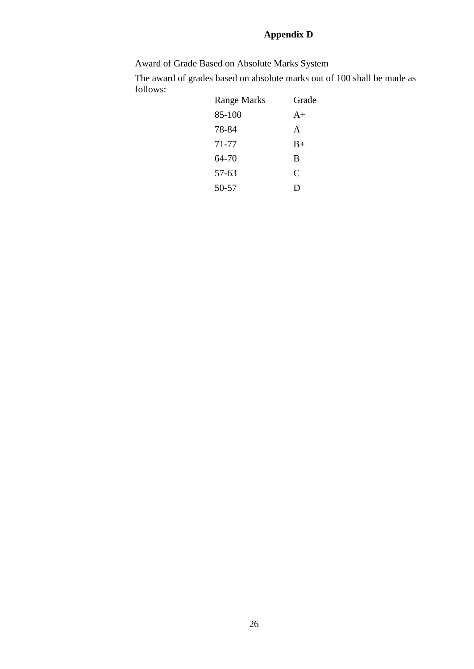## **Appendix D**

Award of Grade Based on Absolute Marks System

The award of grades based on absolute marks out of 100 shall be made as follows:

| <b>Range Marks</b> | Grade |
|--------------------|-------|
| 85-100             | $A+$  |
| 78-84              | A     |
| 71-77              | $B+$  |
| 64-70              | B     |
| 57-63              | C     |
| 50-57              |       |